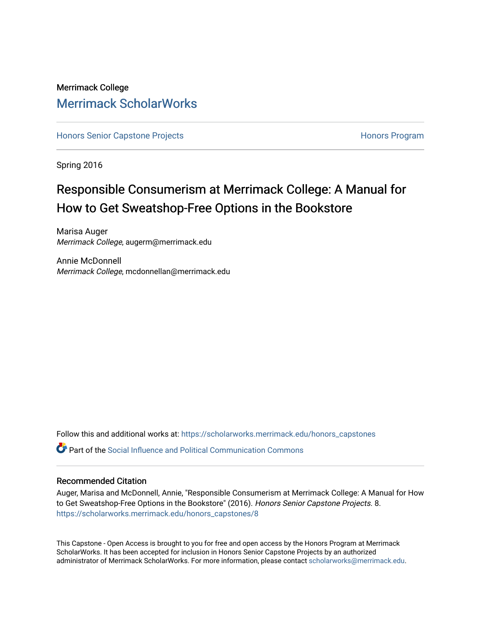## Merrimack College [Merrimack ScholarWorks](https://scholarworks.merrimack.edu/)

[Honors Senior Capstone Projects](https://scholarworks.merrimack.edu/honors_capstones) **Honors Program** Honors Program

Spring 2016

## Responsible Consumerism at Merrimack College: A Manual for How to Get Sweatshop-Free Options in the Bookstore

Marisa Auger Merrimack College, augerm@merrimack.edu

Annie McDonnell Merrimack College, mcdonnellan@merrimack.edu

Follow this and additional works at: [https://scholarworks.merrimack.edu/honors\\_capstones](https://scholarworks.merrimack.edu/honors_capstones?utm_source=scholarworks.merrimack.edu%2Fhonors_capstones%2F8&utm_medium=PDF&utm_campaign=PDFCoverPages)

**P** Part of the Social Influence and Political Communication Commons

### Recommended Citation

Auger, Marisa and McDonnell, Annie, "Responsible Consumerism at Merrimack College: A Manual for How to Get Sweatshop-Free Options in the Bookstore" (2016). Honors Senior Capstone Projects. 8. [https://scholarworks.merrimack.edu/honors\\_capstones/8](https://scholarworks.merrimack.edu/honors_capstones/8?utm_source=scholarworks.merrimack.edu%2Fhonors_capstones%2F8&utm_medium=PDF&utm_campaign=PDFCoverPages)

This Capstone - Open Access is brought to you for free and open access by the Honors Program at Merrimack ScholarWorks. It has been accepted for inclusion in Honors Senior Capstone Projects by an authorized administrator of Merrimack ScholarWorks. For more information, please contact [scholarworks@merrimack.edu](mailto:scholarworks@merrimack.edu).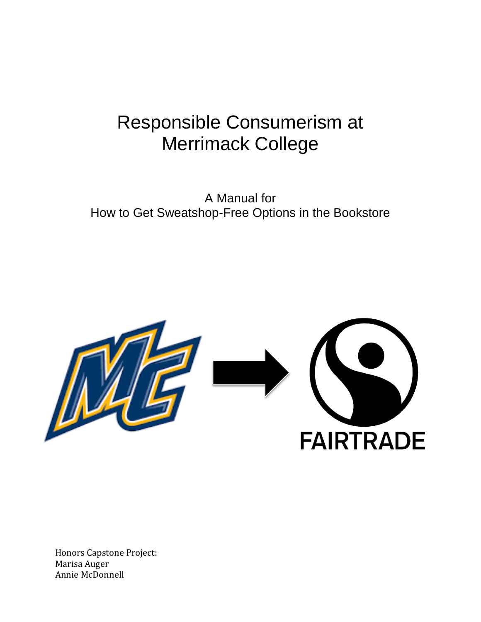# Responsible Consumerism at Merrimack College

A Manual for How to Get Sweatshop-Free Options in the Bookstore



Honors Capstone Project: Marisa Auger Annie McDonnell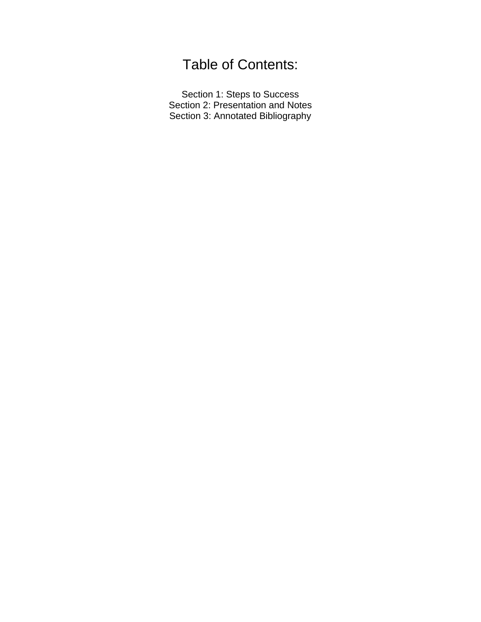## Table of Contents:

Section 1: Steps to Success Section 2: Presentation and Notes Section 3: Annotated Bibliography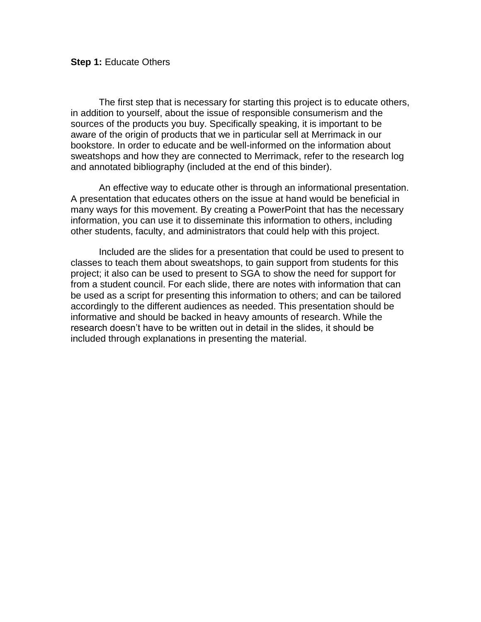The first step that is necessary for starting this project is to educate others, in addition to yourself, about the issue of responsible consumerism and the sources of the products you buy. Specifically speaking, it is important to be aware of the origin of products that we in particular sell at Merrimack in our bookstore. In order to educate and be well-informed on the information about sweatshops and how they are connected to Merrimack, refer to the research log and annotated bibliography (included at the end of this binder).

An effective way to educate other is through an informational presentation. A presentation that educates others on the issue at hand would be beneficial in many ways for this movement. By creating a PowerPoint that has the necessary information, you can use it to disseminate this information to others, including other students, faculty, and administrators that could help with this project.

Included are the slides for a presentation that could be used to present to classes to teach them about sweatshops, to gain support from students for this project; it also can be used to present to SGA to show the need for support for from a student council. For each slide, there are notes with information that can be used as a script for presenting this information to others; and can be tailored accordingly to the different audiences as needed. This presentation should be informative and should be backed in heavy amounts of research. While the research doesn't have to be written out in detail in the slides, it should be included through explanations in presenting the material.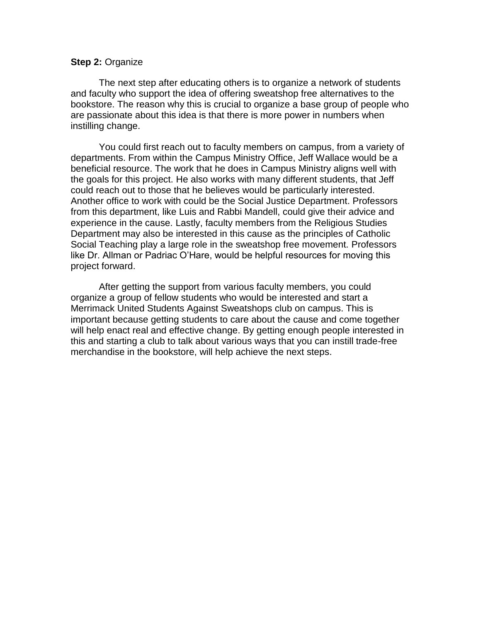## **Step 2:** Organize

The next step after educating others is to organize a network of students and faculty who support the idea of offering sweatshop free alternatives to the bookstore. The reason why this is crucial to organize a base group of people who are passionate about this idea is that there is more power in numbers when instilling change.

You could first reach out to faculty members on campus, from a variety of departments. From within the Campus Ministry Office, Jeff Wallace would be a beneficial resource. The work that he does in Campus Ministry aligns well with the goals for this project. He also works with many different students, that Jeff could reach out to those that he believes would be particularly interested. Another office to work with could be the Social Justice Department. Professors from this department, like Luis and Rabbi Mandell, could give their advice and experience in the cause. Lastly, faculty members from the Religious Studies Department may also be interested in this cause as the principles of Catholic Social Teaching play a large role in the sweatshop free movement. Professors like Dr. Allman or Padriac O'Hare, would be helpful resources for moving this project forward.

After getting the support from various faculty members, you could organize a group of fellow students who would be interested and start a Merrimack United Students Against Sweatshops club on campus. This is important because getting students to care about the cause and come together will help enact real and effective change. By getting enough people interested in this and starting a club to talk about various ways that you can instill trade-free merchandise in the bookstore, will help achieve the next steps.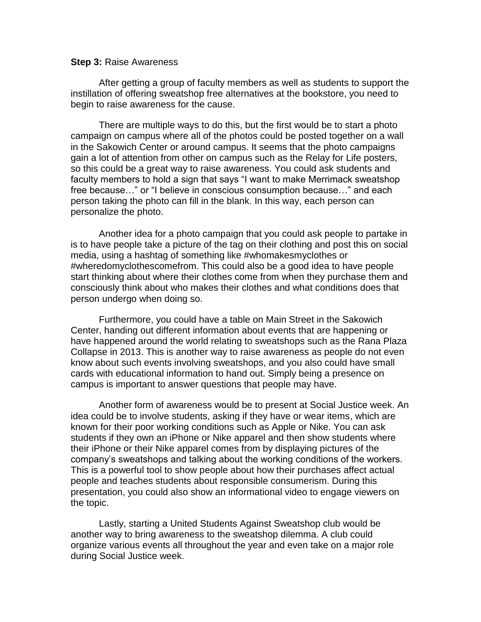## **Step 3:** Raise Awareness

After getting a group of faculty members as well as students to support the instillation of offering sweatshop free alternatives at the bookstore, you need to begin to raise awareness for the cause.

There are multiple ways to do this, but the first would be to start a photo campaign on campus where all of the photos could be posted together on a wall in the Sakowich Center or around campus. It seems that the photo campaigns gain a lot of attention from other on campus such as the Relay for Life posters, so this could be a great way to raise awareness. You could ask students and faculty members to hold a sign that says "I want to make Merrimack sweatshop free because…" or "I believe in conscious consumption because…" and each person taking the photo can fill in the blank. In this way, each person can personalize the photo.

Another idea for a photo campaign that you could ask people to partake in is to have people take a picture of the tag on their clothing and post this on social media, using a hashtag of something like #whomakesmyclothes or #wheredomyclothescomefrom. This could also be a good idea to have people start thinking about where their clothes come from when they purchase them and consciously think about who makes their clothes and what conditions does that person undergo when doing so.

Furthermore, you could have a table on Main Street in the Sakowich Center, handing out different information about events that are happening or have happened around the world relating to sweatshops such as the Rana Plaza Collapse in 2013. This is another way to raise awareness as people do not even know about such events involving sweatshops, and you also could have small cards with educational information to hand out. Simply being a presence on campus is important to answer questions that people may have.

Another form of awareness would be to present at Social Justice week. An idea could be to involve students, asking if they have or wear items, which are known for their poor working conditions such as Apple or Nike. You can ask students if they own an iPhone or Nike apparel and then show students where their iPhone or their Nike apparel comes from by displaying pictures of the company's sweatshops and talking about the working conditions of the workers. This is a powerful tool to show people about how their purchases affect actual people and teaches students about responsible consumerism. During this presentation, you could also show an informational video to engage viewers on the topic.

Lastly, starting a United Students Against Sweatshop club would be another way to bring awareness to the sweatshop dilemma. A club could organize various events all throughout the year and even take on a major role during Social Justice week.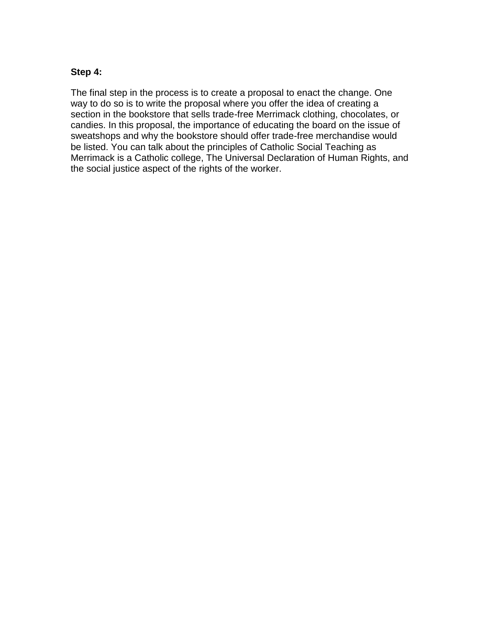## **Step 4:**

The final step in the process is to create a proposal to enact the change. One way to do so is to write the proposal where you offer the idea of creating a section in the bookstore that sells trade-free Merrimack clothing, chocolates, or candies. In this proposal, the importance of educating the board on the issue of sweatshops and why the bookstore should offer trade-free merchandise would be listed. You can talk about the principles of Catholic Social Teaching as Merrimack is a Catholic college, The Universal Declaration of Human Rights, and the social justice aspect of the rights of the worker.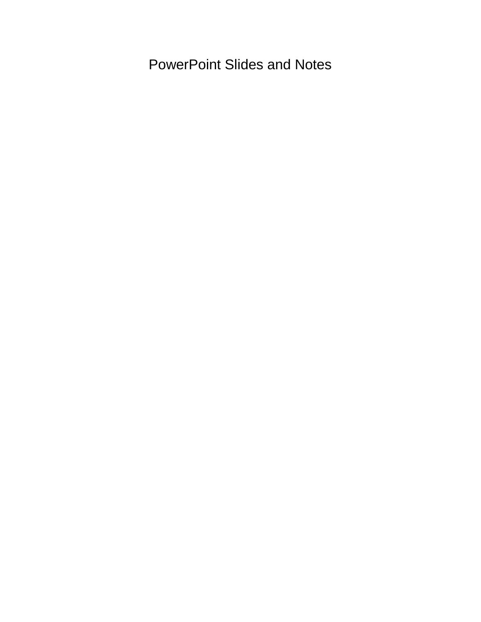PowerPoint Slides and Notes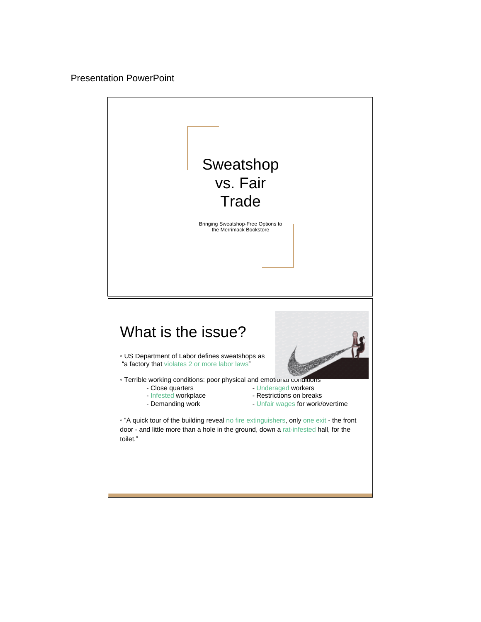## Presentation PowerPoint

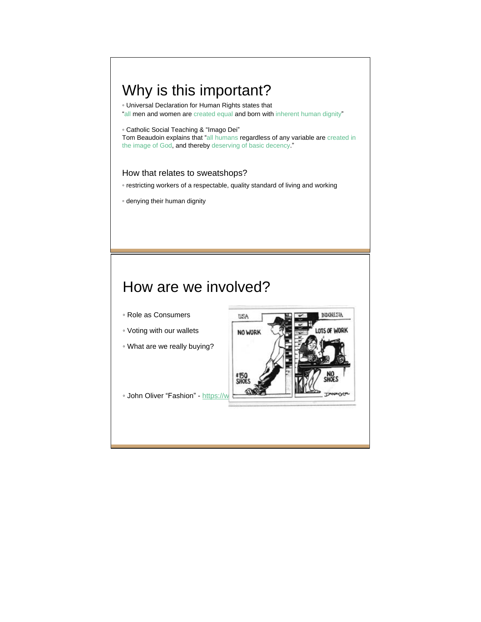## Why is this important?

◦ Universal Declaration for Human Rights states that

"all men and women are created equal and born with inherent human dignity"

◦ Catholic Social Teaching & "Imago Dei"

Tom Beaudoin explains that "all humans regardless of any variable are created in the image of God, and thereby deserving of basic decency."

### How that relates to sweatshops?

- restricting workers of a respectable, quality standard of living and working
- denying their human dignity

## How are we involved?

- Role as Consumers
- Voting with our wallets
- What are we really buying?



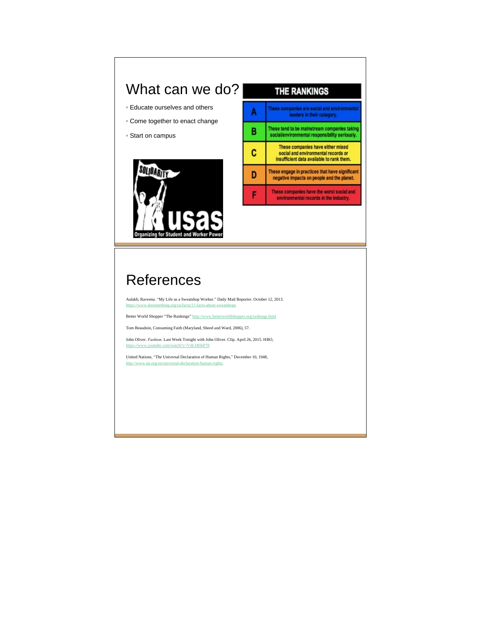## What can we do?

- Educate ourselves and others
- Come together to enact change
- Start on campus





## **References**

Aulakh, Raveena. "My Life as a Sweatshop Worker." Daily Mail Reporter. October 12, 2013. https://www.dosomething.org/us/facts/11-facts-about-sweatshops

Better World Shopper "The Rankings" http://www.betterworldshopper.org/rankings.html

Tom Beaudoin, Consuming Faith (Maryland, Sheed and Ward, 2006), 57.

John Oliver. *Fashion*. Last Week Tonight with John Oliver. Clip. April 26, 2015. HBO, https://www.youtube.com/watch?v=VdLf4fihP78

United Nations, "The Universal Declaration of Human Rights," December 10, 1948, man-righ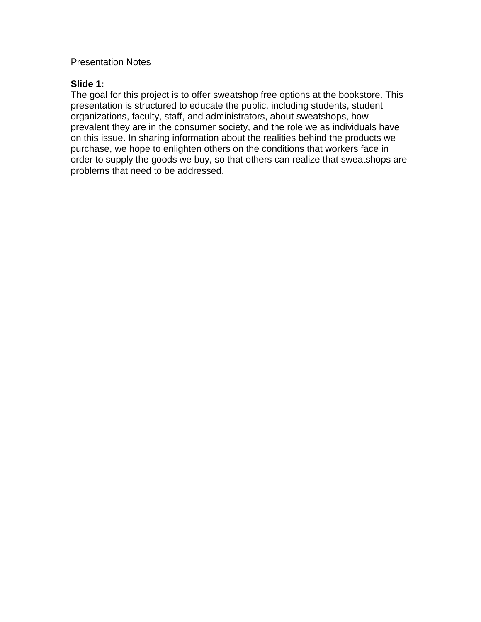## Presentation Notes

## **Slide 1:**

The goal for this project is to offer sweatshop free options at the bookstore. This presentation is structured to educate the public, including students, student organizations, faculty, staff, and administrators, about sweatshops, how prevalent they are in the consumer society, and the role we as individuals have on this issue. In sharing information about the realities behind the products we purchase, we hope to enlighten others on the conditions that workers face in order to supply the goods we buy, so that others can realize that sweatshops are problems that need to be addressed.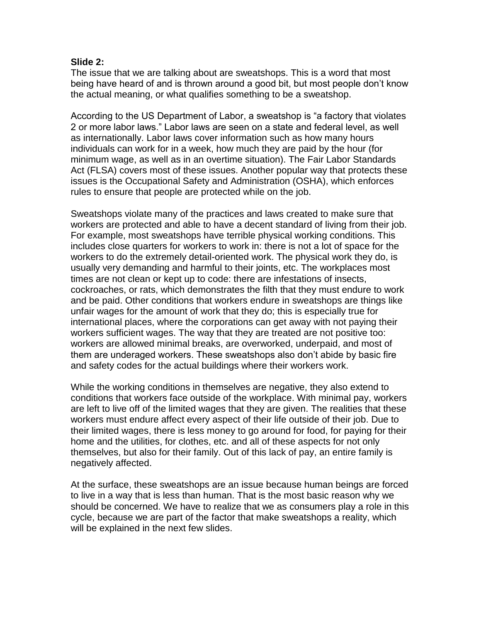## **Slide 2:**

The issue that we are talking about are sweatshops. This is a word that most being have heard of and is thrown around a good bit, but most people don't know the actual meaning, or what qualifies something to be a sweatshop.

According to the US Department of Labor, a sweatshop is "a factory that violates 2 or more labor laws." Labor laws are seen on a state and federal level, as well as internationally. Labor laws cover information such as how many hours individuals can work for in a week, how much they are paid by the hour (for minimum wage, as well as in an overtime situation). The Fair Labor Standards Act (FLSA) covers most of these issues. Another popular way that protects these issues is the Occupational Safety and Administration (OSHA), which enforces rules to ensure that people are protected while on the job.

Sweatshops violate many of the practices and laws created to make sure that workers are protected and able to have a decent standard of living from their job. For example, most sweatshops have terrible physical working conditions. This includes close quarters for workers to work in: there is not a lot of space for the workers to do the extremely detail-oriented work. The physical work they do, is usually very demanding and harmful to their joints, etc. The workplaces most times are not clean or kept up to code: there are infestations of insects, cockroaches, or rats, which demonstrates the filth that they must endure to work and be paid. Other conditions that workers endure in sweatshops are things like unfair wages for the amount of work that they do; this is especially true for international places, where the corporations can get away with not paying their workers sufficient wages. The way that they are treated are not positive too: workers are allowed minimal breaks, are overworked, underpaid, and most of them are underaged workers. These sweatshops also don't abide by basic fire and safety codes for the actual buildings where their workers work.

While the working conditions in themselves are negative, they also extend to conditions that workers face outside of the workplace. With minimal pay, workers are left to live off of the limited wages that they are given. The realities that these workers must endure affect every aspect of their life outside of their job. Due to their limited wages, there is less money to go around for food, for paying for their home and the utilities, for clothes, etc. and all of these aspects for not only themselves, but also for their family. Out of this lack of pay, an entire family is negatively affected.

At the surface, these sweatshops are an issue because human beings are forced to live in a way that is less than human. That is the most basic reason why we should be concerned. We have to realize that we as consumers play a role in this cycle, because we are part of the factor that make sweatshops a reality, which will be explained in the next few slides.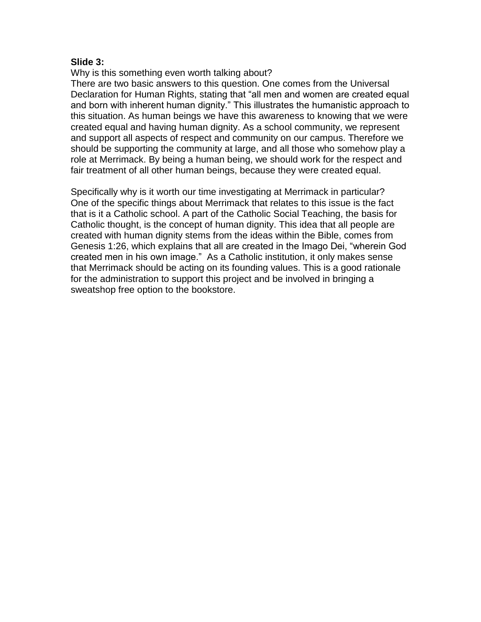## **Slide 3:**

Why is this something even worth talking about?

There are two basic answers to this question. One comes from the Universal Declaration for Human Rights, stating that "all men and women are created equal and born with inherent human dignity." This illustrates the humanistic approach to this situation. As human beings we have this awareness to knowing that we were created equal and having human dignity. As a school community, we represent and support all aspects of respect and community on our campus. Therefore we should be supporting the community at large, and all those who somehow play a role at Merrimack. By being a human being, we should work for the respect and fair treatment of all other human beings, because they were created equal.

Specifically why is it worth our time investigating at Merrimack in particular? One of the specific things about Merrimack that relates to this issue is the fact that is it a Catholic school. A part of the Catholic Social Teaching, the basis for Catholic thought, is the concept of human dignity. This idea that all people are created with human dignity stems from the ideas within the Bible, comes from Genesis 1:26, which explains that all are created in the Imago Dei, "wherein God created men in his own image." As a Catholic institution, it only makes sense that Merrimack should be acting on its founding values. This is a good rationale for the administration to support this project and be involved in bringing a sweatshop free option to the bookstore.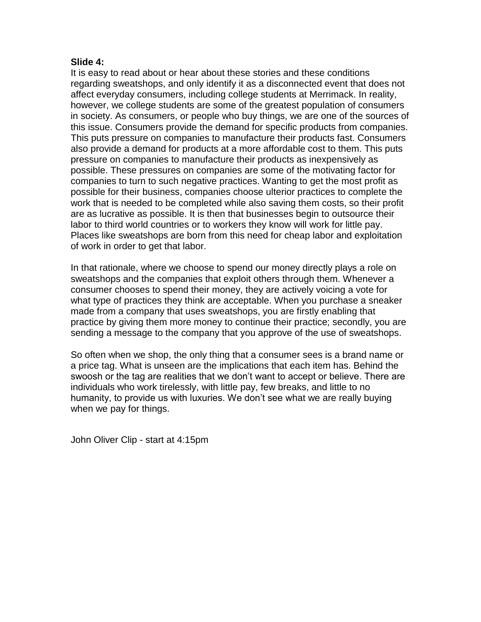## **Slide 4:**

It is easy to read about or hear about these stories and these conditions regarding sweatshops, and only identify it as a disconnected event that does not affect everyday consumers, including college students at Merrimack. In reality, however, we college students are some of the greatest population of consumers in society. As consumers, or people who buy things, we are one of the sources of this issue. Consumers provide the demand for specific products from companies. This puts pressure on companies to manufacture their products fast. Consumers also provide a demand for products at a more affordable cost to them. This puts pressure on companies to manufacture their products as inexpensively as possible. These pressures on companies are some of the motivating factor for companies to turn to such negative practices. Wanting to get the most profit as possible for their business, companies choose ulterior practices to complete the work that is needed to be completed while also saving them costs, so their profit are as lucrative as possible. It is then that businesses begin to outsource their labor to third world countries or to workers they know will work for little pay. Places like sweatshops are born from this need for cheap labor and exploitation of work in order to get that labor.

In that rationale, where we choose to spend our money directly plays a role on sweatshops and the companies that exploit others through them. Whenever a consumer chooses to spend their money, they are actively voicing a vote for what type of practices they think are acceptable. When you purchase a sneaker made from a company that uses sweatshops, you are firstly enabling that practice by giving them more money to continue their practice; secondly, you are sending a message to the company that you approve of the use of sweatshops.

So often when we shop, the only thing that a consumer sees is a brand name or a price tag. What is unseen are the implications that each item has. Behind the swoosh or the tag are realities that we don't want to accept or believe. There are individuals who work tirelessly, with little pay, few breaks, and little to no humanity, to provide us with luxuries. We don't see what we are really buying when we pay for things.

John Oliver Clip - start at 4:15pm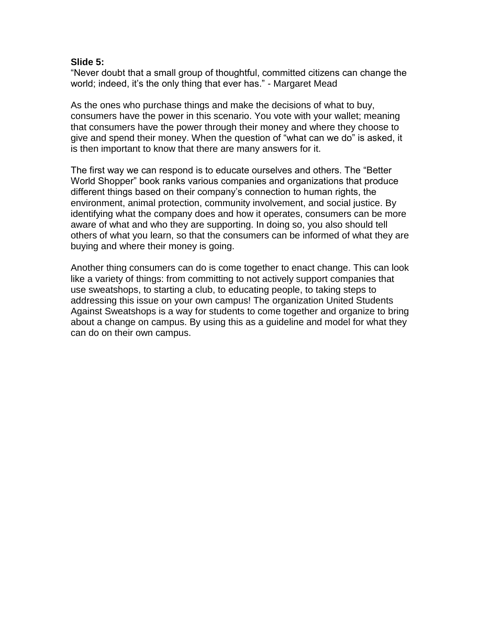## **Slide 5:**

"Never doubt that a small group of thoughtful, committed citizens can change the world; indeed, it's the only thing that ever has." - Margaret Mead

As the ones who purchase things and make the decisions of what to buy, consumers have the power in this scenario. You vote with your wallet; meaning that consumers have the power through their money and where they choose to give and spend their money. When the question of "what can we do" is asked, it is then important to know that there are many answers for it.

The first way we can respond is to educate ourselves and others. The "Better World Shopper" book ranks various companies and organizations that produce different things based on their company's connection to human rights, the environment, animal protection, community involvement, and social justice. By identifying what the company does and how it operates, consumers can be more aware of what and who they are supporting. In doing so, you also should tell others of what you learn, so that the consumers can be informed of what they are buying and where their money is going.

Another thing consumers can do is come together to enact change. This can look like a variety of things: from committing to not actively support companies that use sweatshops, to starting a club, to educating people, to taking steps to addressing this issue on your own campus! The organization United Students Against Sweatshops is a way for students to come together and organize to bring about a change on campus. By using this as a guideline and model for what they can do on their own campus.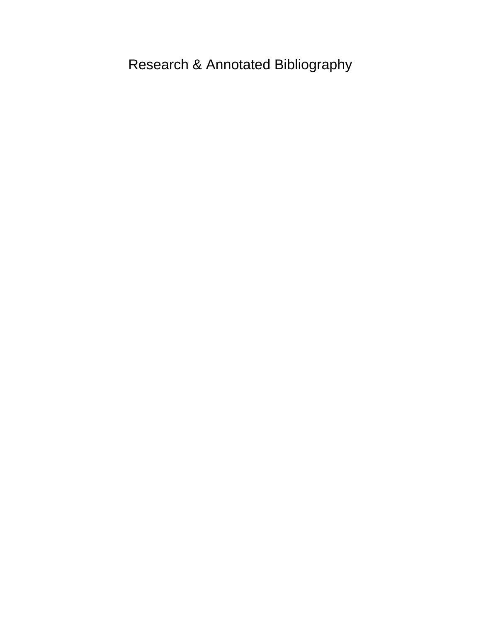Research & Annotated Bibliography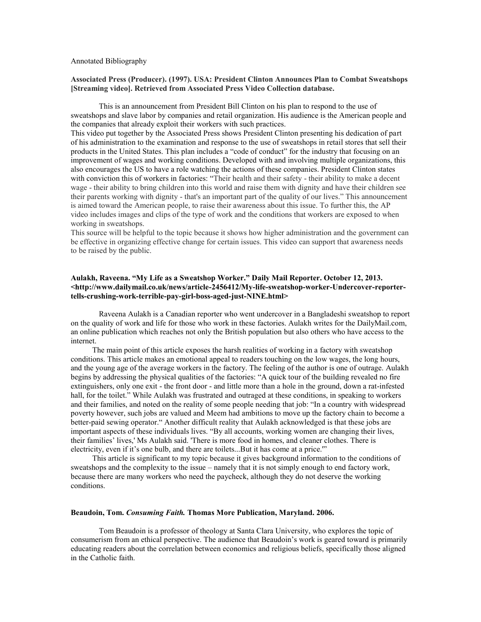#### Annotated Bibliography

#### **Associated Press (Producer). (1997). USA: President Clinton Announces Plan to Combat Sweatshops [Streaming video]. Retrieved from Associated Press Video Collection database.**

This is an announcement from President Bill Clinton on his plan to respond to the use of sweatshops and slave labor by companies and retail organization. His audience is the American people and the companies that already exploit their workers with such practices.

This video put together by the Associated Press shows President Clinton presenting his dedication of part of his administration to the examination and response to the use of sweatshops in retail stores that sell their products in the United States. This plan includes a "code of conduct" for the industry that focusing on an improvement of wages and working conditions. Developed with and involving multiple organizations, this also encourages the US to have a role watching the actions of these companies. President Clinton states with conviction this of workers in factories: "Their health and their safety - their ability to make a decent wage - their ability to bring children into this world and raise them with dignity and have their children see their parents working with dignity - that's an important part of the quality of our lives." This announcement is aimed toward the American people, to raise their awareness about this issue. To further this, the AP video includes images and clips of the type of work and the conditions that workers are exposed to when working in sweatshops.

This source will be helpful to the topic because it shows how higher administration and the government can be effective in organizing effective change for certain issues. This video can support that awareness needs to be raised by the public.

#### **Aulakh, Raveena. "My Life as a Sweatshop Worker." Daily Mail Reporter. October 12, 2013. <http://www.dailymail.co.uk/news/article-2456412/My-life-sweatshop-worker-Undercover-reportertells-crushing-work-terrible-pay-girl-boss-aged-just-NINE.html>**

Raveena Aulakh is a Canadian reporter who went undercover in a Bangladeshi sweatshop to report on the quality of work and life for those who work in these factories. Aulakh writes for the DailyMail.com, an online publication which reaches not only the British population but also others who have access to the internet.

The main point of this article exposes the harsh realities of working in a factory with sweatshop conditions. This article makes an emotional appeal to readers touching on the low wages, the long hours, and the young age of the average workers in the factory. The feeling of the author is one of outrage. Aulakh begins by addressing the physical qualities of the factories: "A quick tour of the building revealed no fire extinguishers, only one exit - the front door - and little more than a hole in the ground, down a rat-infested hall, for the toilet." While Aulakh was frustrated and outraged at these conditions, in speaking to workers and their families, and noted on the reality of some people needing that job: "In a country with widespread poverty however, such jobs are valued and Meem had ambitions to move up the factory chain to become a better-paid sewing operator." Another difficult reality that Aulakh acknowledged is that these jobs are important aspects of these individuals lives. "By all accounts, working women are changing their lives, their families' lives,' Ms Aulakh said. 'There is more food in homes, and cleaner clothes. There is electricity, even if it's one bulb, and there are toilets...But it has come at a price.'"

This article is significant to my topic because it gives background information to the conditions of sweatshops and the complexity to the issue – namely that it is not simply enough to end factory work, because there are many workers who need the paycheck, although they do not deserve the working conditions.

#### **Beaudoin, Tom.** *Consuming Faith.* **Thomas More Publication, Maryland. 2006.**

Tom Beaudoin is a professor of theology at Santa Clara University, who explores the topic of consumerism from an ethical perspective. The audience that Beaudoin's work is geared toward is primarily educating readers about the correlation between economics and religious beliefs, specifically those aligned in the Catholic faith.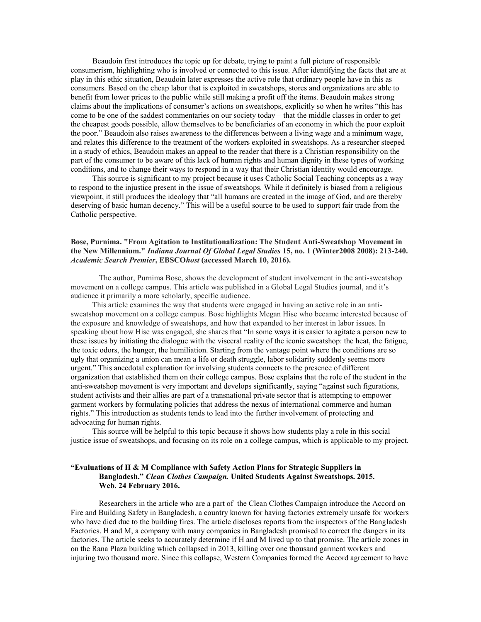Beaudoin first introduces the topic up for debate, trying to paint a full picture of responsible consumerism, highlighting who is involved or connected to this issue. After identifying the facts that are at play in this ethic situation, Beaudoin later expresses the active role that ordinary people have in this as consumers. Based on the cheap labor that is exploited in sweatshops, stores and organizations are able to benefit from lower prices to the public while still making a profit off the items. Beaudoin makes strong claims about the implications of consumer's actions on sweatshops, explicitly so when he writes "this has come to be one of the saddest commentaries on our society today – that the middle classes in order to get the cheapest goods possible, allow themselves to be beneficiaries of an economy in which the poor exploit the poor." Beaudoin also raises awareness to the differences between a living wage and a minimum wage, and relates this difference to the treatment of the workers exploited in sweatshops. As a researcher steeped in a study of ethics, Beaudoin makes an appeal to the reader that there is a Christian responsibility on the part of the consumer to be aware of this lack of human rights and human dignity in these types of working conditions, and to change their ways to respond in a way that their Christian identity would encourage.

This source is significant to my project because it uses Catholic Social Teaching concepts as a way to respond to the injustice present in the issue of sweatshops. While it definitely is biased from a religious viewpoint, it still produces the ideology that "all humans are created in the image of God, and are thereby deserving of basic human decency." This will be a useful source to be used to support fair trade from the Catholic perspective.

#### **Bose, Purnima. "From Agitation to Institutionalization: The Student Anti-Sweatshop Movement in the New Millennium."** *Indiana Journal Of Global Legal Studies* **15, no. 1 (Winter2008 2008): 213-240.**  *Academic Search Premier***, EBSCO***host* **(accessed March 10, 2016).**

The author, Purnima Bose, shows the development of student involvement in the anti-sweatshop movement on a college campus. This article was published in a Global Legal Studies journal, and it's audience it primarily a more scholarly, specific audience.

This article examines the way that students were engaged in having an active role in an antisweatshop movement on a college campus. Bose highlights Megan Hise who became interested because of the exposure and knowledge of sweatshops, and how that expanded to her interest in labor issues. In speaking about how Hise was engaged, she shares that "In some ways it is easier to agitate a person new to these issues by initiating the dialogue with the visceral reality of the iconic sweatshop: the heat, the fatigue, the toxic odors, the hunger, the humiliation. Starting from the vantage point where the conditions are so ugly that organizing a union can mean a life or death struggle, labor solidarity suddenly seems more urgent." This anecdotal explanation for involving students connects to the presence of different organization that established them on their college campus. Bose explains that the role of the student in the anti-sweatshop movement is very important and develops significantly, saying "against such figurations, student activists and their allies are part of a transnational private sector that is attempting to empower garment workers by formulating policies that address the nexus of international commerce and human rights." This introduction as students tends to lead into the further involvement of protecting and advocating for human rights.

This source will be helpful to this topic because it shows how students play a role in this social justice issue of sweatshops, and focusing on its role on a college campus, which is applicable to my project.

### **"Evaluations of H & M Compliance with Safety Action Plans for Strategic Suppliers in Bangladesh."** *Clean Clothes Campaign.* **United Students Against Sweatshops. 2015. Web. 24 February 2016.**

Researchers in the article who are a part of the Clean Clothes Campaign introduce the Accord on Fire and Building Safety in Bangladesh, a country known for having factories extremely unsafe for workers who have died due to the building fires. The article discloses reports from the inspectors of the Bangladesh Factories. H and M, a company with many companies in Bangladesh promised to correct the dangers in its factories. The article seeks to accurately determine if H and M lived up to that promise. The article zones in on the Rana Plaza building which collapsed in 2013, killing over one thousand garment workers and injuring two thousand more. Since this collapse, Western Companies formed the Accord agreement to have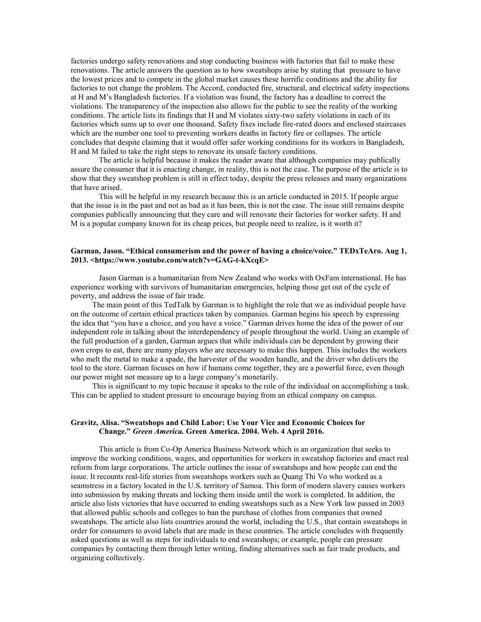factories undergo safety renovations and stop conducting business with factories that fail to make these renovations. The article answers the question as to how sweatshops arise by stating that pressure to have the lowest prices and to compete in the global market causes these horrific conditions and the ability for factories to not change the problem. The Accord, conducted fire, structural, and electrical safety inspections at H and M's Bangladesh factories. If a violation was found, the factory has a deadline to correct the violations. The transparency of the inspection also allows for the public to see the reality of the working conditions. The article lists its findings that H and M violates sixty-two safety violations in each of its factories which sums up to over one thousand. Safety fixes include fire-rated doors and enclosed staircases which are the number one tool to preventing workers deaths in factory fire or collapses. The article concludes that despite claiming that it would offer safer working conditions for its workers in Bangladesh, H and M failed to take the right steps to renovate its unsafe factory conditions.

The article is helpful because it makes the reader aware that although companies may publically assure the consumer that it is enacting change, in reality, this is not the case. The purpose of the article is to show that they sweatshop problem is still in effect today, despite the press releases and many organizations that have arised.

This will be helpful in my research because this is an article conducted in 2015. If people argue that the issue is in the past and not as bad as it has been, this is not the case. The issue still remains despite companies publically announcing that they care and will renovate their factories for worker safety. H and M is a popular company known for its cheap prices, but people need to realize, is it worth it?

#### **Garman, Jason. "Ethical consumerism and the power of having a choice/voice." TEDxTeAro. Aug 1, 2013. <https://www.youtube.com/watch?v=GAG-t-kXcqE>**

Jason Garman is a humanitarian from New Zealand who works with OxFam international. He has experience working with survivors of humanitarian emergencies, helping those get out of the cycle of poverty, and address the issue of fair trade.

The main point of this TedTalk by Garman is to highlight the role that we as individual people have on the outcome of certain ethical practices taken by companies. Garman begins his speech by expressing the idea that "you have a choice, and you have a voice." Garman drives home the idea of the power of our independent role in talking about the interdependency of people throughout the world. Using an example of the full production of a garden, Garman argues that while individuals can be dependent by growing their own crops to eat, there are many players who are necessary to make this happen. This includes the workers who melt the metal to make a spade, the harvester of the wooden handle, and the driver who delivers the tool to the store. Garman focuses on how if humans come together, they are a powerful force, even though our power might not measure up to a large company's monetarily.

This is significant to my topic because it speaks to the role of the individual on accomplishing a task. This can be applied to student pressure to encourage buying from an ethical company on campus.

#### **Gravitz, Alisa. "Sweatshops and Child Labor: Use Your Vice and Economic Choices for Change."** *Green America.* **Green America. 2004. Web. 4 April 2016.**

This article is from Co-Op America Business Network which is an organization that seeks to improve the working conditions, wages, and opportunities for workers in sweatshop factories and enact real reform from large corporations. The article outlines the issue of sweatshops and how people can end the issue. It recounts real-life stories from sweatshops workers such as Quang Thi Vo who worked as a seamstress in a factory located in the U.S. territory of Samoa. This form of modern slavery causes workers into submission by making threats and locking them inside until the work is completed. In addition, the article also lists victories that have occurred to ending sweatshops such as a New York law passed in 2003 that allowed public schools and colleges to ban the purchase of clothes from companies that owned sweatshops. The article also lists countries around the world, including the U.S., that contain sweatshops in order for consumers to avoid labels that are made in these countries. The article concludes with frequently asked questions as well as steps for individuals to end sweatshops; or example, people can pressure companies by contacting them through letter writing, finding alternatives such as fair trade products, and organizing collectively.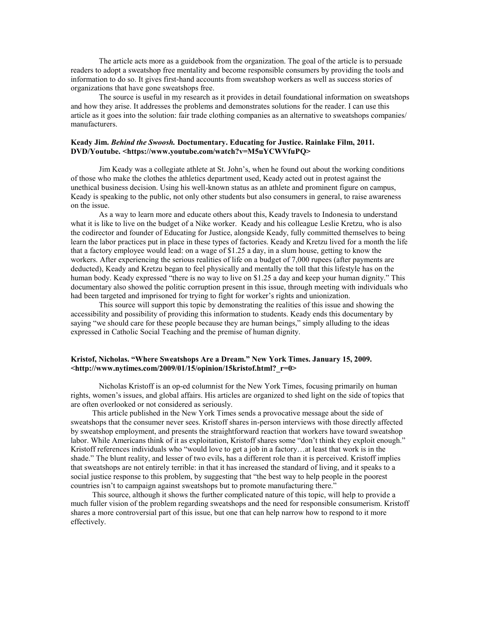The article acts more as a guidebook from the organization. The goal of the article is to persuade readers to adopt a sweatshop free mentality and become responsible consumers by providing the tools and information to do so. It gives first-hand accounts from sweatshop workers as well as success stories of organizations that have gone sweatshops free.

The source is useful in my research as it provides in detail foundational information on sweatshops and how they arise. It addresses the problems and demonstrates solutions for the reader. I can use this article as it goes into the solution: fair trade clothing companies as an alternative to sweatshops companies/ manufacturers.

#### **Keady Jim.** *Behind the Swoosh.* **Doctumentary. Educating for Justice. Rainlake Film, 2011. DVD/Youtube. <https://www.youtube.com/watch?v=M5uYCWVfuPQ>**

Jim Keady was a collegiate athlete at St. John's, when he found out about the working conditions of those who make the clothes the athletics department used, Keady acted out in protest against the unethical business decision. Using his well-known status as an athlete and prominent figure on campus, Keady is speaking to the public, not only other students but also consumers in general, to raise awareness on the issue.

As a way to learn more and educate others about this, Keady travels to Indonesia to understand what it is like to live on the budget of a Nike worker. Keady and his colleague Leslie Kretzu, who is also the codirector and founder of Educating for Justice, alongside Keady, fully committed themselves to being learn the labor practices put in place in these types of factories. Keady and Kretzu lived for a month the life that a factory employee would lead: on a wage of \$1.25 a day, in a slum house, getting to know the workers. After experiencing the serious realities of life on a budget of 7,000 rupees (after payments are deducted), Keady and Kretzu began to feel physically and mentally the toll that this lifestyle has on the human body. Keady expressed "there is no way to live on \$1.25 a day and keep your human dignity." This documentary also showed the politic corruption present in this issue, through meeting with individuals who had been targeted and imprisoned for trying to fight for worker's rights and unionization.

This source will support this topic by demonstrating the realities of this issue and showing the accessibility and possibility of providing this information to students. Keady ends this documentary by saying "we should care for these people because they are human beings," simply alluding to the ideas expressed in Catholic Social Teaching and the premise of human dignity.

#### **Kristof, Nicholas. "Where Sweatshops Are a Dream." New York Times. January 15, 2009. <http://www.nytimes.com/2009/01/15/opinion/15kristof.html?\_r=0>**

Nicholas Kristoff is an op-ed columnist for the New York Times, focusing primarily on human rights, women's issues, and global affairs. His articles are organized to shed light on the side of topics that are often overlooked or not considered as seriously.

This article published in the New York Times sends a provocative message about the side of sweatshops that the consumer never sees. Kristoff shares in-person interviews with those directly affected by sweatshop employment, and presents the straightforward reaction that workers have toward sweatshop labor. While Americans think of it as exploitation, Kristoff shares some "don't think they exploit enough." Kristoff references individuals who "would love to get a job in a factory…at least that work is in the shade." The blunt reality, and lesser of two evils, has a different role than it is perceived. Kristoff implies that sweatshops are not entirely terrible: in that it has increased the standard of living, and it speaks to a social justice response to this problem, by suggesting that "the best way to help people in the poorest countries isn't to campaign against sweatshops but to promote manufacturing there."

This source, although it shows the further complicated nature of this topic, will help to provide a much fuller vision of the problem regarding sweatshops and the need for responsible consumerism. Kristoff shares a more controversial part of this issue, but one that can help narrow how to respond to it more effectively.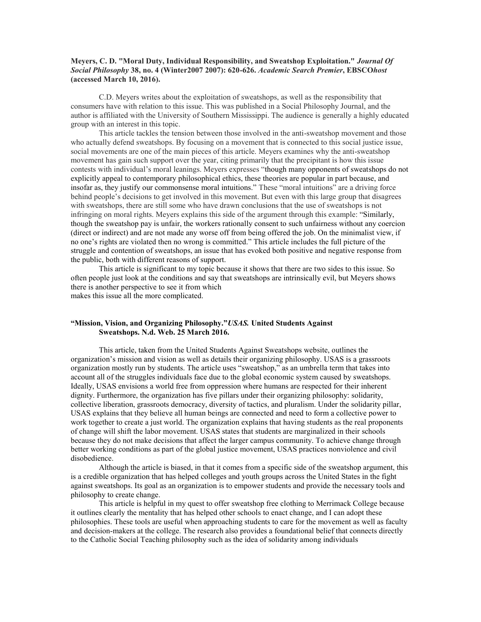### **Meyers, C. D. "Moral Duty, Individual Responsibility, and Sweatshop Exploitation."** *Journal Of Social Philosophy* **38, no. 4 (Winter2007 2007): 620-626.** *Academic Search Premier***, EBSCO***host* **(accessed March 10, 2016).**

C.D. Meyers writes about the exploitation of sweatshops, as well as the responsibility that consumers have with relation to this issue. This was published in a Social Philosophy Journal, and the author is affiliated with the University of Southern Mississippi. The audience is generally a highly educated group with an interest in this topic.

This article tackles the tension between those involved in the anti-sweatshop movement and those who actually defend sweatshops. By focusing on a movement that is connected to this social justice issue, social movements are one of the main pieces of this article. Meyers examines why the anti-sweatshop movement has gain such support over the year, citing primarily that the precipitant is how this issue contests with individual's moral leanings. Meyers expresses "though many opponents of sweatshops do not explicitly appeal to contemporary philosophical ethics, these theories are popular in part because, and insofar as, they justify our commonsense moral intuitions." These "moral intuitions" are a driving force behind people's decisions to get involved in this movement. But even with this large group that disagrees with sweatshops, there are still some who have drawn conclusions that the use of sweatshops is not infringing on moral rights. Meyers explains this side of the argument through this example: "Similarly, though the sweatshop pay is unfair, the workers rationally consent to such unfairness without any coercion (direct or indirect) and are not made any worse off from being offered the job. On the minimalist view, if no one's rights are violated then no wrong is committed." This article includes the full picture of the struggle and contention of sweatshops, an issue that has evoked both positive and negative response from the public, both with different reasons of support.

This article is significant to my topic because it shows that there are two sides to this issue. So often people just look at the conditions and say that sweatshops are intrinsically evil, but Meyers shows there is another perspective to see it from which makes this issue all the more complicated.

### **"Mission, Vision, and Organizing Philosophy."***USAS.* **United Students Against Sweatshops. N.d. Web. 25 March 2016.**

This article, taken from the United Students Against Sweatshops website, outlines the organization's mission and vision as well as details their organizing philosophy. USAS is a grassroots organization mostly run by students. The article uses "sweatshop," as an umbrella term that takes into account all of the struggles individuals face due to the global economic system caused by sweatshops. Ideally, USAS envisions a world free from oppression where humans are respected for their inherent dignity. Furthermore, the organization has five pillars under their organizing philosophy: solidarity, collective liberation, grassroots democracy, diversity of tactics, and pluralism. Under the solidarity pillar, USAS explains that they believe all human beings are connected and need to form a collective power to work together to create a just world. The organization explains that having students as the real proponents of change will shift the labor movement. USAS states that students are marginalized in their schools because they do not make decisions that affect the larger campus community. To achieve change through better working conditions as part of the global justice movement, USAS practices nonviolence and civil disobedience.

Although the article is biased, in that it comes from a specific side of the sweatshop argument, this is a credible organization that has helped colleges and youth groups across the United States in the fight against sweatshops. Its goal as an organization is to empower students and provide the necessary tools and philosophy to create change.

This article is helpful in my quest to offer sweatshop free clothing to Merrimack College because it outlines clearly the mentality that has helped other schools to enact change, and I can adopt these philosophies. These tools are useful when approaching students to care for the movement as well as faculty and decision-makers at the college. The research also provides a foundational belief that connects directly to the Catholic Social Teaching philosophy such as the idea of solidarity among individuals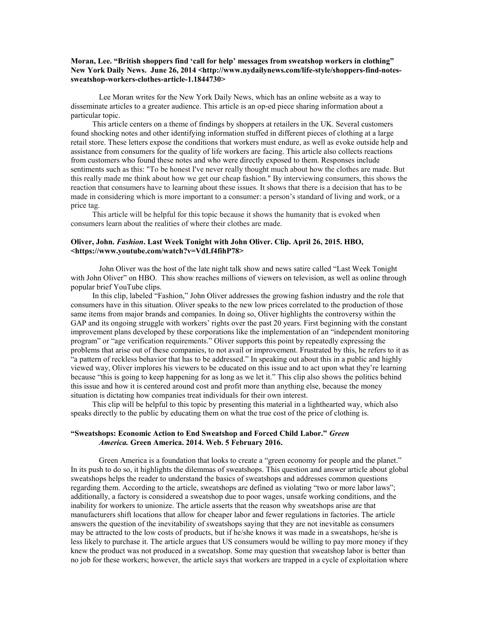#### **Moran, Lee. "British shoppers find 'call for help' messages from sweatshop workers in clothing"**  New York Daily News. June 26, 2014 <http://www.nydailynews.com/life-style/shoppers-find-notes**sweatshop-workers-clothes-article-1.1844730>**

Lee Moran writes for the New York Daily News, which has an online website as a way to disseminate articles to a greater audience. This article is an op-ed piece sharing information about a particular topic.

This article centers on a theme of findings by shoppers at retailers in the UK. Several customers found shocking notes and other identifying information stuffed in different pieces of clothing at a large retail store. These letters expose the conditions that workers must endure, as well as evoke outside help and assistance from consumers for the quality of life workers are facing. This article also collects reactions from customers who found these notes and who were directly exposed to them. Responses include sentiments such as this: "To be honest I've never really thought much about how the clothes are made. But this really made me think about how we get our cheap fashion." By interviewing consumers, this shows the reaction that consumers have to learning about these issues. It shows that there is a decision that has to be made in considering which is more important to a consumer: a person's standard of living and work, or a price tag.

This article will be helpful for this topic because it shows the humanity that is evoked when consumers learn about the realities of where their clothes are made.

#### **Oliver, John.** *Fashion***. Last Week Tonight with John Oliver. Clip. April 26, 2015. HBO, <https://www.youtube.com/watch?v=VdLf4fihP78>**

John Oliver was the host of the late night talk show and news satire called "Last Week Tonight with John Oliver" on HBO. This show reaches millions of viewers on television, as well as online through popular brief YouTube clips.

In this clip, labeled "Fashion," John Oliver addresses the growing fashion industry and the role that consumers have in this situation. Oliver speaks to the new low prices correlated to the production of those same items from major brands and companies. In doing so, Oliver highlights the controversy within the GAP and its ongoing struggle with workers' rights over the past 20 years. First beginning with the constant improvement plans developed by these corporations like the implementation of an "independent monitoring program" or "age verification requirements." Oliver supports this point by repeatedly expressing the problems that arise out of these companies, to not avail or improvement. Frustrated by this, he refers to it as "a pattern of reckless behavior that has to be addressed." In speaking out about this in a public and highly viewed way, Oliver implores his viewers to be educated on this issue and to act upon what they're learning because "this is going to keep happening for as long as we let it." This clip also shows the politics behind this issue and how it is centered around cost and profit more than anything else, because the money situation is dictating how companies treat individuals for their own interest.

This clip will be helpful to this topic by presenting this material in a lighthearted way, which also speaks directly to the public by educating them on what the true cost of the price of clothing is.

### **"Sweatshops: Economic Action to End Sweatshop and Forced Child Labor."** *Green America.* **Green America. 2014. Web. 5 February 2016.**

Green America is a foundation that looks to create a "green economy for people and the planet." In its push to do so, it highlights the dilemmas of sweatshops. This question and answer article about global sweatshops helps the reader to understand the basics of sweatshops and addresses common questions regarding them. According to the article, sweatshops are defined as violating "two or more labor laws"; additionally, a factory is considered a sweatshop due to poor wages, unsafe working conditions, and the inability for workers to unionize. The article asserts that the reason why sweatshops arise are that manufacturers shift locations that allow for cheaper labor and fewer regulations in factories. The article answers the question of the inevitability of sweatshops saying that they are not inevitable as consumers may be attracted to the low costs of products, but if he/she knows it was made in a sweatshops, he/she is less likely to purchase it. The article argues that US consumers would be willing to pay more money if they knew the product was not produced in a sweatshop. Some may question that sweatshop labor is better than no job for these workers; however, the article says that workers are trapped in a cycle of exploitation where